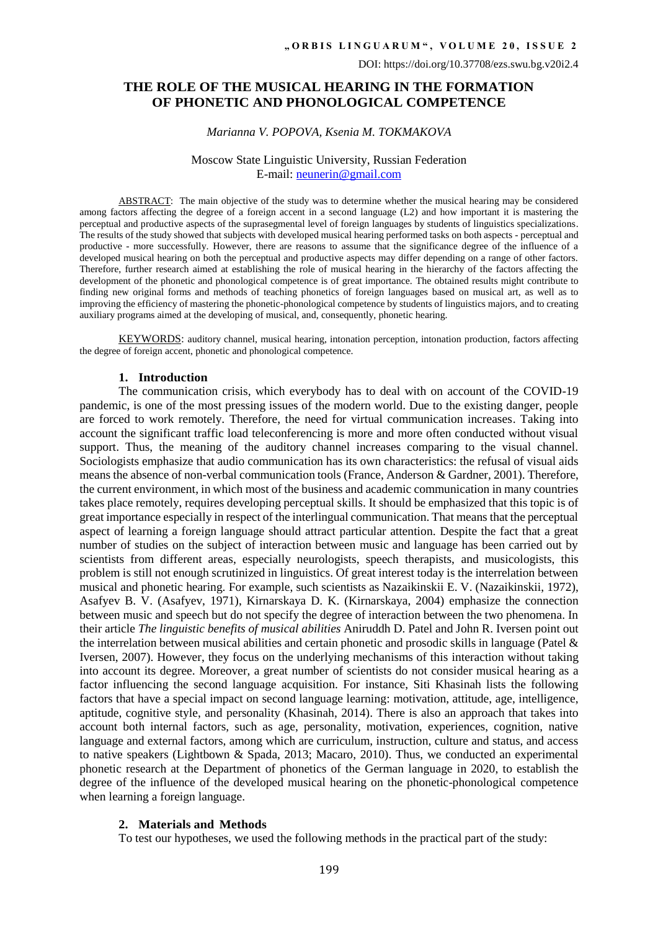# **THE ROLE OF THE MUSICAL HEARING IN THE FORMATION OF PHONETIC AND PHONOLOGICAL COMPETENCE**

#### *Marianna V. POPOVA, Ksenia M. TOKMAKOVA*

### Moscow State Linguistic University, Russian Federation E-mail: [neunerin@gmail.com](mailto:neunerin@gmail.com)

ABSTRACT: The main objective of the study was to determine whether the musical hearing may be considered among factors affecting the degree of a foreign accent in a second language (L2) and how important it is mastering the perceptual and productive aspects of the suprasegmental level of foreign languages by students of linguistics specializations. The results of the study showed that subjects with developed musical hearing performed tasks on both aspects - perceptual and productive - more successfully. However, there are reasons to assume that the significance degree of the influence of a developed musical hearing on both the perceptual and productive aspects may differ depending on a range of other factors. Therefore, further research aimed at establishing the role of musical hearing in the hierarchy of the factors affecting the development of the phonetic and phonological competence is of great importance. The obtained results might contribute to finding new original forms and methods of teaching phonetics of foreign languages based on musical art, as well as to improving the efficiency of mastering the phonetic-phonological competence by students of linguistics majors, and to creating auxiliary programs aimed at the developing of musical, and, consequently, phonetic hearing.

KEYWORDS: auditory channel, musical hearing, intonation perception, intonation production, factors affecting the degree of foreign accent, phonetic and phonological competence.

#### **1. Introduction**

The communication crisis, which everybody has to deal with on account of the COVID-19 pandemic, is one of the most pressing issues of the modern world. Due to the existing danger, people are forced to work remotely. Therefore, the need for virtual communication increases. Taking into account the significant traffic load teleconferencing is more and more often conducted without visual support. Thus, the meaning of the auditory channel increases comparing to the visual channel. Sociologists emphasize that audio communication has its own characteristics: the refusal of visual aids means the absence of non-verbal communication tools (France, Anderson & Gardner, 2001). Therefore, the current environment, in which most of the business and academic communication in many countries takes place remotely, requires developing perceptual skills. It should be emphasized that this topic is of great importance especially in respect of the interlingual communication. That means that the perceptual aspect of learning a foreign language should attract particular attention. Despite the fact that a great number of studies on the subject of interaction between music and language has been carried out by scientists from different areas, especially neurologists, speech therapists, and musicologists, this problem is still not enough scrutinized in linguistics. Of great interest today is the interrelation between musical and phonetic hearing. For example, such scientists as Nazaikinskii E. V. (Nazaikinskii, 1972), Asafyev B. V. (Asafyev, 1971), Kirnarskaya D. K. (Kirnarskaya, 2004) emphasize the connection between music and speech but do not specify the degree of interaction between the two phenomena. In their article *The linguistic benefits of musical abilities* Aniruddh D. Patel and John R. Iversen point out the interrelation between musical abilities and certain phonetic and prosodic skills in language (Patel & Iversen, 2007). However, they focus on the underlying mechanisms of this interaction without taking into account its degree. Moreover, a great number of scientists do not consider musical hearing as a factor influencing the second language acquisition. For instance, Siti Khasinah lists the following factors that have a special impact on second language learning: motivation, attitude, age, intelligence, aptitude, cognitive style, and personality (Khasinah, 2014). There is also an approach that takes into account both internal factors, such as age, personality, motivation, experiences, cognition, native language and external factors, among which are curriculum, instruction, culture and status, and access to native speakers (Lightbown & Spada, 2013; Macaro, 2010). Thus, we conducted an experimental phonetic research at the Department of phonetics of the German language in 2020, to establish the degree of the influence of the developed musical hearing on the phonetic-phonological competence when learning a foreign language.

### **2. Materials and Methods**

To test our hypotheses, we used the following methods in the practical part of the study: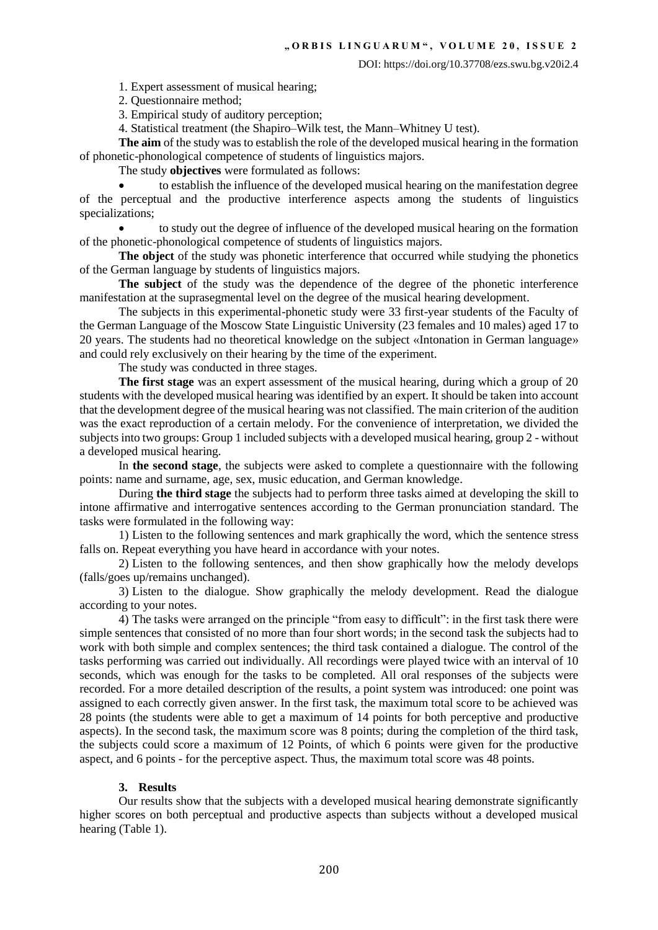1. Expert assessment of musical hearing;

2. Questionnaire method;

3. Empirical study of auditory perception;

4. Statistical treatment (the Shapiro–Wilk test, the Mann–Whitney U test).

**The aim** of the study was to establish the role of the developed musical hearing in the formation of phonetic-phonological competence of students of linguistics majors.

The study **objectives** were formulated as follows:

 to establish the influence of the developed musical hearing on the manifestation degree of the perceptual and the productive interference aspects among the students of linguistics specializations;

 to study out the degree of influence of the developed musical hearing on the formation of the phonetic-phonological competence of students of linguistics majors.

**The object** of the study was phonetic interference that occurred while studying the phonetics of the German language by students of linguistics majors.

**The subject** of the study was the dependence of the degree of the phonetic interference manifestation at the suprasegmental level on the degree of the musical hearing development.

The subjects in this experimental-phonetic study were 33 first-year students of the Faculty of the German Language of the Moscow State Linguistic University (23 females and 10 males) aged 17 to 20 years. The students had no theoretical knowledge on the subject «Intonation in German language» and could rely exclusively on their hearing by the time of the experiment.

The study was conducted in three stages.

**The first stage** was an expert assessment of the musical hearing, during which a group of 20 students with the developed musical hearing was identified by an expert. It should be taken into account that the development degree of the musical hearing was not classified. The main criterion of the audition was the exact reproduction of a certain melody. For the convenience of interpretation, we divided the subjects into two groups: Group 1 included subjects with a developed musical hearing, group 2 - without a developed musical hearing.

In **the second stage**, the subjects were asked to complete a questionnaire with the following points: name and surname, age, sex, music education, and German knowledge.

During **the third stage** the subjects had to perform three tasks aimed at developing the skill to intone affirmative and interrogative sentences according to the German pronunciation standard. The tasks were formulated in the following way:

1) Listen to the following sentences and mark graphically the word, which the sentence stress falls on. Repeat everything you have heard in accordance with your notes.

2) Listen to the following sentences, and then show graphically how the melody develops (falls/goes up/remains unchanged).

3) Listen to the dialogue. Show graphically the melody development. Read the dialogue according to your notes.

4) The tasks were arranged on the principle "from easy to difficult": in the first task there were simple sentences that consisted of no more than four short words; in the second task the subjects had to work with both simple and complex sentences; the third task contained a dialogue. The control of the tasks performing was carried out individually. All recordings were played twice with an interval of 10 seconds, which was enough for the tasks to be completed. All oral responses of the subjects were recorded. For a more detailed description of the results, a point system was introduced: one point was assigned to each correctly given answer. In the first task, the maximum total score to be achieved was 28 points (the students were able to get a maximum of 14 points for both perceptive and productive aspects). In the second task, the maximum score was 8 points; during the completion of the third task, the subjects could score a maximum of 12 Points, of which 6 points were given for the productive aspect, and 6 points - for the perceptive aspect. Thus, the maximum total score was 48 points.

### **3. Results**

Our results show that the subjects with a developed musical hearing demonstrate significantly higher scores on both perceptual and productive aspects than subjects without a developed musical hearing (Table 1).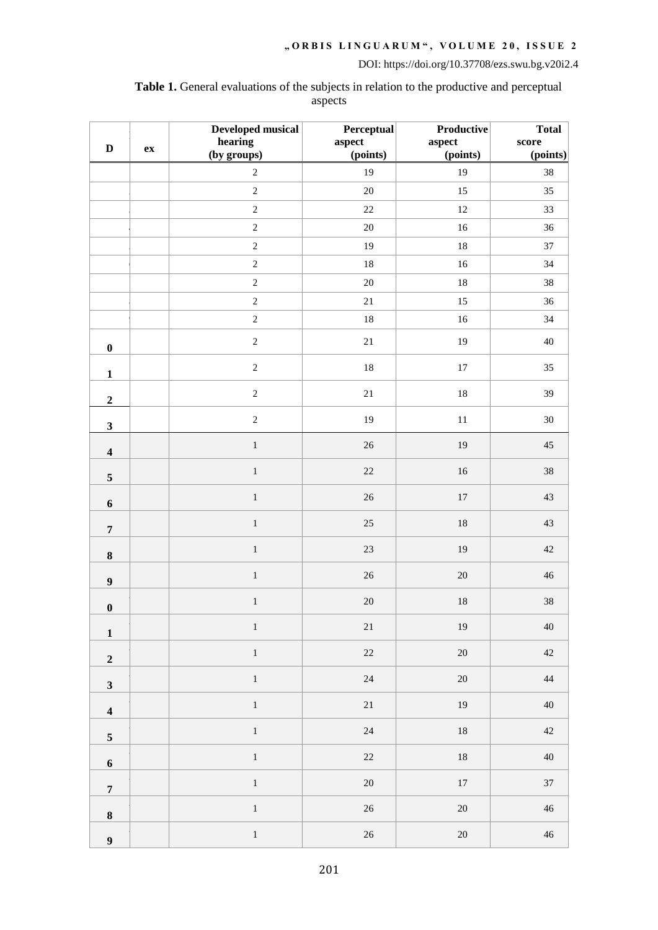**Table 1.** General evaluations of the subjects in relation to the productive and perceptual aspects

|                         |    | Developed musical      | Perceptual         | Productive         | Total             |
|-------------------------|----|------------------------|--------------------|--------------------|-------------------|
| $\mathbf D$             | ex | hearing<br>(by groups) | aspect<br>(points) | aspect<br>(points) | score<br>(points) |
|                         |    | $\overline{c}$         | 19                 | 19                 | 38                |
|                         |    | $\overline{c}$         | $20\,$             | 15                 | 35                |
|                         |    | $\overline{2}$         | $22\,$             | $12\,$             | 33                |
|                         |    | $\overline{2}$         | $20\,$             | 16                 | 36                |
|                         |    | $\overline{2}$         | 19                 | $18\,$             | 37                |
|                         |    | $\sqrt{2}$             | $18\,$             | $16\,$             | 34                |
|                         |    | $\sqrt{2}$             | $20\,$             | $18\,$             | 38                |
|                         |    | $\overline{2}$         | 21                 | 15                 | 36                |
|                         |    | $\overline{2}$         | $18\,$             | $16\,$             | 34                |
| $\pmb{0}$               |    | $\sqrt{2}$             | $21\,$             | $19\,$             | 40                |
| $\mathbf{1}$            |    | $\sqrt{2}$             | 18                 | $17\,$             | 35                |
| $\mathbf 2$             |    | $\sqrt{2}$             | $21\,$             | $18\,$             | 39                |
| $\mathbf{3}$            |    | $\sqrt{2}$             | 19                 | $11\,$             | $30\,$            |
| $\overline{\mathbf{4}}$ |    | $\,1\,$                | 26                 | 19                 | 45                |
| $\sqrt{5}$              |    | $\,1\,$                | $22\,$             | $16\,$             | 38                |
| 6                       |    | $\,1\,$                | $26\,$             | $17\,$             | $43\,$            |
| $\overline{7}$          |    | $\,1\,$                | $25\,$             | 18                 | 43                |
| $\bf 8$                 |    | $\,1\,$                | $23\,$             | 19                 | $42\,$            |
| $\boldsymbol{9}$        |    | $\,1\,$                | $26\,$             | $20\,$             | $46\,$            |
| $\boldsymbol{0}$        |    | $\,1\,$                | $20\,$             | 18                 | 38                |
| $\mathbf 1$             |    | $\,1$                  | $21\,$             | 19                 | 40                |
| $\mathbf 2$             |    | $\,1$                  | $22\,$             | $20\,$             | 42                |
| $\mathbf{3}$            |    | $\,1$                  | 24                 | $20\,$             | 44                |
| $\overline{\mathbf{4}}$ |    | $\,1$                  | $21\,$             | $19\,$             | 40                |
| $\sqrt{5}$              |    | $\,1$                  | 24                 | $18\,$             | $42\,$            |
| $\boldsymbol{6}$        |    | $\bar{1}$              | $22\,$             | $18\,$             | $40\,$            |
| $\overline{\mathbf{7}}$ |    | $\,1$                  | 20                 | $17\,$             | 37                |
| $\bf 8$                 |    | $\,1$                  | $26\,$             | $20\,$             | 46                |
| $\boldsymbol{9}$        |    | $\,1$                  | $26\,$             | $20\,$             | 46                |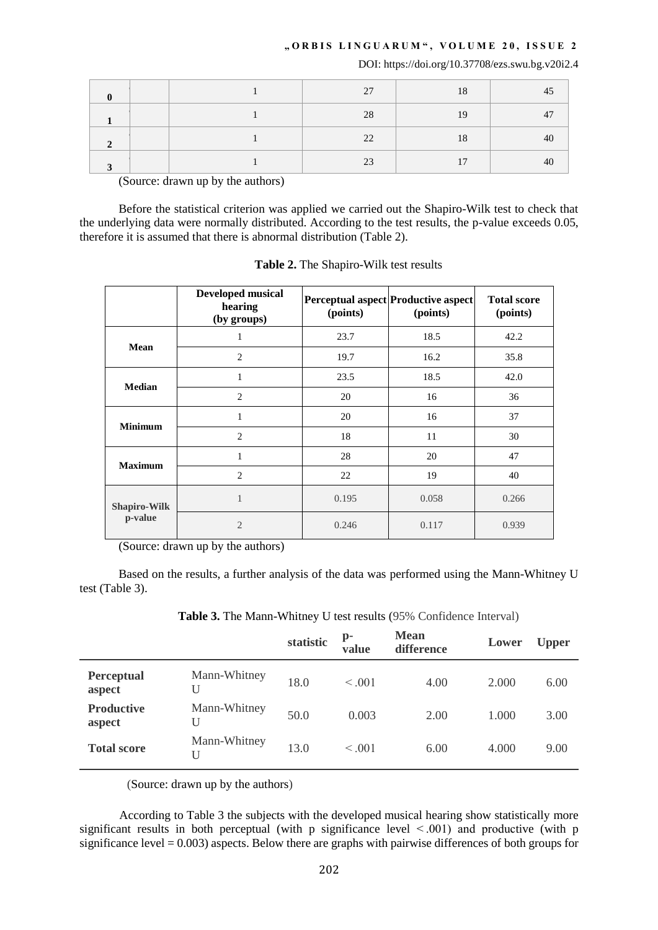# **" O R B I S L I N G U A R U M " , V O L U M E 2 0 , I S S U E 2**

DOI: https://doi.org/10.37708/ezs.swu.bg.v20i2.4

|  | 27 | 18             |  |
|--|----|----------------|--|
|  | 28 | 19             |  |
|  | 22 | 18             |  |
|  | 23 | 1 <sub>7</sub> |  |

(Source: drawn up by the authors)

Before the statistical criterion was applied we carried out the Shapiro-Wilk test to check that the underlying data were normally distributed. According to the test results, the p-value exceeds 0.05, therefore it is assumed that there is abnormal distribution (Table 2).

|                     | <b>Developed musical</b><br>hearing<br>(by groups) | (points) | Perceptual aspect Productive aspect<br>(points) | <b>Total score</b><br>(points) |  |
|---------------------|----------------------------------------------------|----------|-------------------------------------------------|--------------------------------|--|
|                     | 1                                                  | 23.7     | 18.5                                            | 42.2                           |  |
| Mean                | $\overline{2}$                                     | 19.7     | 16.2                                            | 35.8                           |  |
|                     | 1                                                  | 23.5     | 18.5                                            | 42.0                           |  |
| <b>Median</b>       | $\overline{2}$                                     | 20       | 16                                              | 36                             |  |
| <b>Minimum</b>      | 1                                                  | 20       | 16                                              | 37                             |  |
|                     | $\overline{2}$                                     | 18       | 11                                              | 30                             |  |
| <b>Maximum</b>      | 1                                                  | 28       | 20                                              | 47                             |  |
|                     | $\overline{c}$                                     | 22       | 19                                              | 40                             |  |
| <b>Shapiro-Wilk</b> | 1                                                  | 0.195    | 0.058                                           | 0.266                          |  |
| p-value             | $\overline{2}$                                     | 0.246    | 0.117                                           | 0.939                          |  |

**Table 2.** The Shapiro-Wilk test results

(Source: drawn up by the authors)

Based on the results, a further analysis of the data was performed using the Mann-Whitney U test (Table 3).

**Table 3.** The Mann-Whitney U test results (95% Confidence Interval)

|                   | statistic | $\mathbf{p}$ -<br>value | <b>Mean</b><br>difference | Lower | <b>Upper</b> |
|-------------------|-----------|-------------------------|---------------------------|-------|--------------|
| Mann-Whitney<br>U | 18.0      | < 0.001                 | 4.00                      | 2.000 | 6.00         |
| Mann-Whitney<br>U | 50.0      | 0.003                   | 2.00                      | 1.000 | 3.00         |
| Mann-Whitney<br>U | 13.0      | $\leq 0.01$             | 6.00                      | 4.000 | 9.00         |
|                   |           |                         |                           |       |              |

(Source: drawn up by the authors)

According to Table 3 the subjects with the developed musical hearing show statistically more significant results in both perceptual (with p significance level  $\leq$  001) and productive (with p significance level  $= 0.003$ ) aspects. Below there are graphs with pairwise differences of both groups for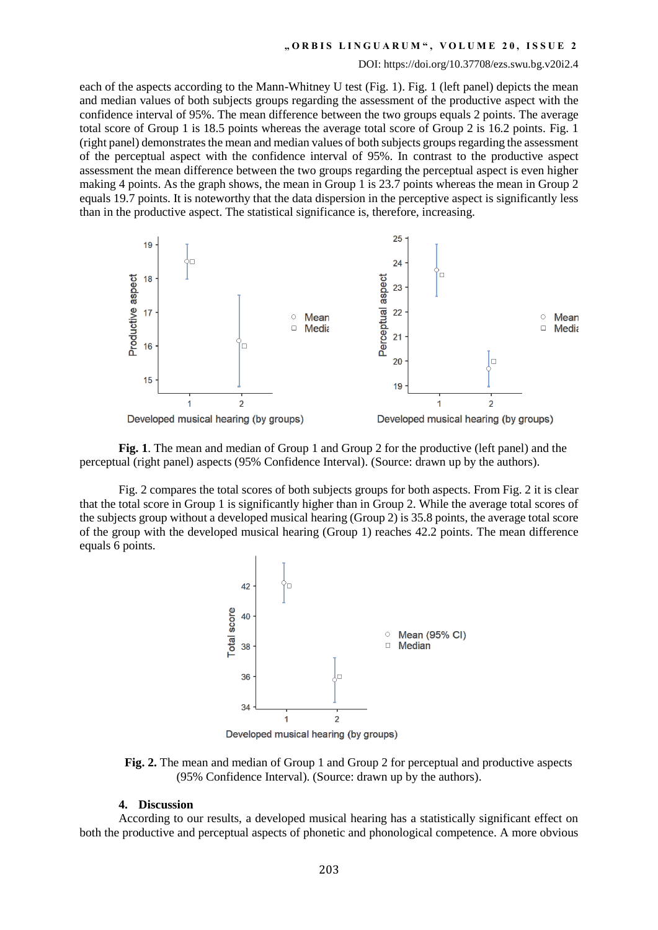### **" O R B I S L I N G U A R U M " , V O L U M E 2 0 , I S S U E 2**

#### DOI: https://doi.org/10.37708/ezs.swu.bg.v20i2.4

each of the aspects according to the Mann-Whitney U test (Fig. 1). Fig. 1 (left panel) depicts the mean and median values of both subjects groups regarding the assessment of the productive aspect with the confidence interval of 95%. The mean difference between the two groups equals 2 points. The average total score of Group 1 is 18.5 points whereas the average total score of Group 2 is 16.2 points. Fig. 1 (right panel) demonstrates the mean and median values of both subjects groups regarding the assessment of the perceptual aspect with the confidence interval of 95%. In contrast to the productive aspect assessment the mean difference between the two groups regarding the perceptual aspect is even higher making 4 points. As the graph shows, the mean in Group 1 is 23.7 points whereas the mean in Group 2 equals 19.7 points. It is noteworthy that the data dispersion in the perceptive aspect is significantly less than in the productive aspect. The statistical significance is, therefore, increasing.



**Fig. 1**. The mean and median of Group 1 and Group 2 for the productive (left panel) and the perceptual (right panel) aspects (95% Confidence Interval). (Source: drawn up by the authors).

Fig. 2 compares the total scores of both subjects groups for both aspects. From Fig. 2 it is clear that the total score in Group 1 is significantly higher than in Group 2. While the average total scores of the subjects group without a developed musical hearing (Group 2) is 35.8 points, the average total score of the group with the developed musical hearing (Group 1) reaches 42.2 points. The mean difference equals 6 points.



**Fig. 2.** The mean and median of Group 1 and Group 2 for perceptual and productive aspects (95% Confidence Interval). (Source: drawn up by the authors).

## **4. Discussion**

According to our results, a developed musical hearing has a statistically significant effect on both the productive and perceptual aspects of phonetic and phonological competence. A more obvious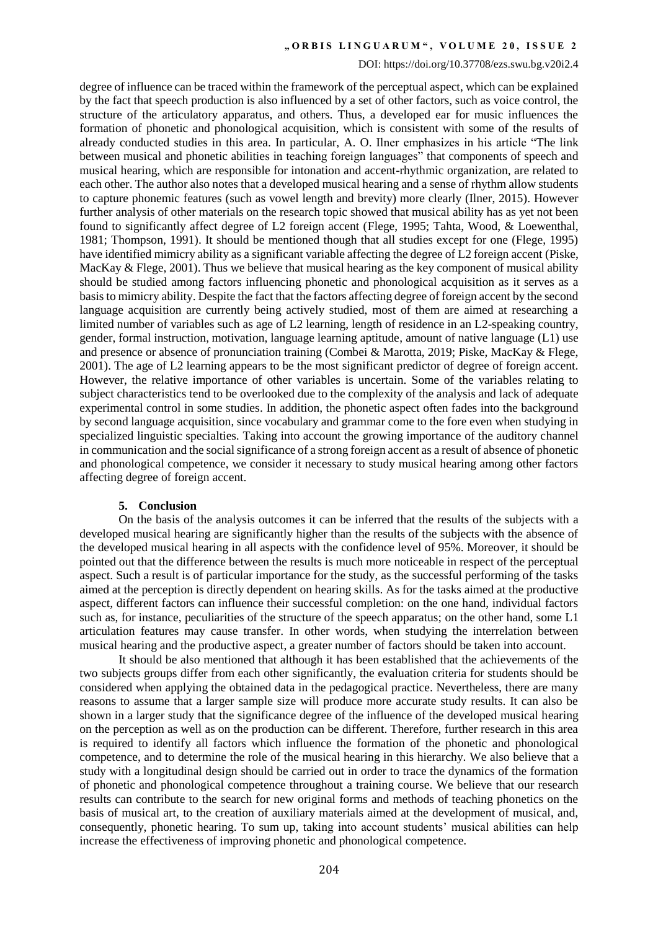## **" O R B I S L I N G U A R U M " , V O L U M E 2 0 , I S S U E 2**

#### DOI: https://doi.org/10.37708/ezs.swu.bg.v20i2.4

degree of influence can be traced within the framework of the perceptual aspect, which can be explained by the fact that speech production is also influenced by a set of other factors, such as voice control, the structure of the articulatory apparatus, and others. Thus, a developed ear for music influences the formation of phonetic and phonological acquisition, which is consistent with some of the results of already conducted studies in this area. In particular, A. O. Ilner emphasizes in his article "The link between musical and phonetic abilities in teaching foreign languages<sup>"</sup> that components of speech and musical hearing, which are responsible for intonation and accent-rhythmic organization, are related to each other. The author also notes that a developed musical hearing and a sense of rhythm allow students to capture phonemic features (such as vowel length and brevity) more clearly (Ilner, 2015). However further analysis of other materials on the research topic showed that musical ability has as yet not been found to significantly affect degree of L2 foreign accent (Flege, 1995; Tahta, Wood, & Loewenthal, 1981; Thompson, 1991). It should be mentioned though that all studies except for one (Flege, 1995) have identified mimicry ability as a significant variable affecting the degree of L2 foreign accent (Piske, MacKay & Flege, 2001). Thus we believe that musical hearing as the key component of musical ability should be studied among factors influencing phonetic and phonological acquisition as it serves as a basis to mimicry ability. Despite the fact that the factors affecting degree of foreign accent by the second language acquisition are currently being actively studied, most of them are aimed at researching a limited number of variables such as age of L2 learning, length of residence in an L2-speaking country, gender, formal instruction, motivation, language learning aptitude, amount of native language (L1) use and presence or absence of pronunciation training (Combei & Marotta, 2019; Piske, MacKay & Flege, 2001). The age of L2 learning appears to be the most significant predictor of degree of foreign accent. However, the relative importance of other variables is uncertain. Some of the variables relating to subject characteristics tend to be overlooked due to the complexity of the analysis and lack of adequate experimental control in some studies. In addition, the phonetic aspect often fades into the background by second language acquisition, since vocabulary and grammar come to the fore even when studying in specialized linguistic specialties. Taking into account the growing importance of the auditory channel in communication and the social significance of a strong foreign accent as a result of absence of phonetic and phonological competence, we consider it necessary to study musical hearing among other factors affecting degree of foreign accent.

# **5. Conclusion**

On the basis of the analysis outcomes it can be inferred that the results of the subjects with a developed musical hearing are significantly higher than the results of the subjects with the absence of the developed musical hearing in all aspects with the confidence level of 95%. Moreover, it should be pointed out that the difference between the results is much more noticeable in respect of the perceptual aspect. Such a result is of particular importance for the study, as the successful performing of the tasks aimed at the perception is directly dependent on hearing skills. As for the tasks aimed at the productive aspect, different factors can influence their successful completion: on the one hand, individual factors such as, for instance, peculiarities of the structure of the speech apparatus; on the other hand, some L1 articulation features may cause transfer. In other words, when studying the interrelation between musical hearing and the productive aspect, a greater number of factors should be taken into account.

It should be also mentioned that although it has been established that the achievements of the two subjects groups differ from each other significantly, the evaluation criteria for students should be considered when applying the obtained data in the pedagogical practice. Nevertheless, there are many reasons to assume that a larger sample size will produce more accurate study results. It can also be shown in a larger study that the significance degree of the influence of the developed musical hearing on the perception as well as on the production can be different. Therefore, further research in this area is required to identify all factors which influence the formation of the phonetic and phonological competence, and to determine the role of the musical hearing in this hierarchy. We also believe that a study with a longitudinal design should be carried out in order to trace the dynamics of the formation of phonetic and phonological competence throughout a training course. We believe that our research results can contribute to the search for new original forms and methods of teaching phonetics on the basis of musical art, to the creation of auxiliary materials aimed at the development of musical, and, consequently, phonetic hearing. To sum up, taking into account students' musical abilities can help increase the effectiveness of improving phonetic and phonological competence.